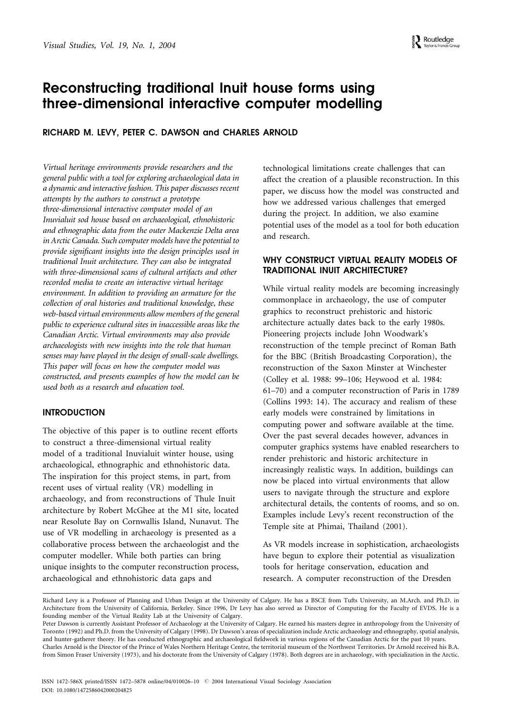# Reconstructing traditional Inuit house forms using three-dimensional interactive computer modelling

RICHARD M. LEVY, PETER C. DAWSON and CHARLES ARNOLD

Virtual heritage environments provide researchers and the general public with a tool for exploring archaeological data in a dynamic and interactive fashion. This paper discusses recent attempts by the authors to construct a prototype three-dimensional interactive computer model of an Inuvialuit sod house based on archaeological, ethnohistoric and ethnographic data from the outer Mackenzie Delta area in Arctic Canada. Such computer models have the potential to provide significant insights into the design principles used in traditional Inuit architecture. They can also be integrated with three-dimensional scans of cultural artifacts and other recorded media to create an interactive virtual heritage environment. In addition to providing an armature for the collection of oral histories and traditional knowledge, these web-based virtual environments allow members of the general public to experience cultural sites in inaccessible areas like the Canadian Arctic. Virtual environments may also provide archaeologists with new insights into the role that human senses may have played in the design of small-scale dwellings. This paper will focus on how the computer model was constructed, and presents examples of how the model can be used both as a research and education tool.

#### INTRODUCTION

The objective of this paper is to outline recent efforts to construct a three-dimensional virtual reality model of a traditional Inuvialuit winter house, using archaeological, ethnographic and ethnohistoric data. The inspiration for this project stems, in part, from recent uses of virtual reality (VR) modelling in archaeology, and from reconstructions of Thule Inuit architecture by Robert McGhee at the M1 site, located near Resolute Bay on Cornwallis Island, Nunavut. The use of VR modelling in archaeology is presented as a collaborative process between the archaeologist and the computer modeller. While both parties can bring unique insights to the computer reconstruction process, archaeological and ethnohistoric data gaps and

technological limitations create challenges that can affect the creation of a plausible reconstruction. In this paper, we discuss how the model was constructed and how we addressed various challenges that emerged during the project. In addition, we also examine potential uses of the model as a tool for both education and research.

## WHY CONSTRUCT VIRTUAL REALITY MODELS OF TRADITIONAL INUIT ARCHITECTURE?

While virtual reality models are becoming increasingly commonplace in archaeology, the use of computer graphics to reconstruct prehistoric and historic architecture actually dates back to the early 1980s. Pioneering projects include John Woodwark's reconstruction of the temple precinct of Roman Bath for the BBC (British Broadcasting Corporation), the reconstruction of the Saxon Minster at Winchester (Colley et al. 1988: 99–106; Heywood et al. 1984: 61–70) and a computer reconstruction of Paris in 1789 (Collins 1993: 14). The accuracy and realism of these early models were constrained by limitations in computing power and software available at the time. Over the past several decades however, advances in computer graphics systems have enabled researchers to render prehistoric and historic architecture in increasingly realistic ways. In addition, buildings can now be placed into virtual environments that allow users to navigate through the structure and explore architectural details, the contents of rooms, and so on. Examples include Levy's recent reconstruction of the Temple site at Phimai, Thailand (2001).

As VR models increase in sophistication, archaeologists have begun to explore their potential as visualization tools for heritage conservation, education and research. A computer reconstruction of the Dresden

Richard Levy is a Professor of Planning and Urban Design at the University of Calgary. He has a BSCE from Tufts University, an M.Arch. and Ph.D. in Architecture from the University of California, Berkeley. Since 1996, Dr Levy has also served as Director of Computing for the Faculty of EVDS. He is a founding member of the Virtual Reality Lab at the University of Calgary.

Peter Dawson is currently Assistant Professor of Archaeology at the University of Calgary. He earned his masters degree in anthropology from the University of Toronto (1992) and Ph.D. from the University of Calgary (1998). Dr Dawson's areas of specialization include Arctic archaeology and ethnography, spatial analysis, and hunter-gatherer theory. He has conducted ethnographic and archaeological fieldwork in various regions of the Canadian Arctic for the past 10 years. Charles Arnold is the Director of the Prince of Wales Northern Heritage Centre, the territorial museum of the Northwest Territories. Dr Arnold received his B.A. from Simon Fraser University (1973), and his doctorate from the University of Calgary (1978). Both degrees are in archaeology, with specialization in the Arctic.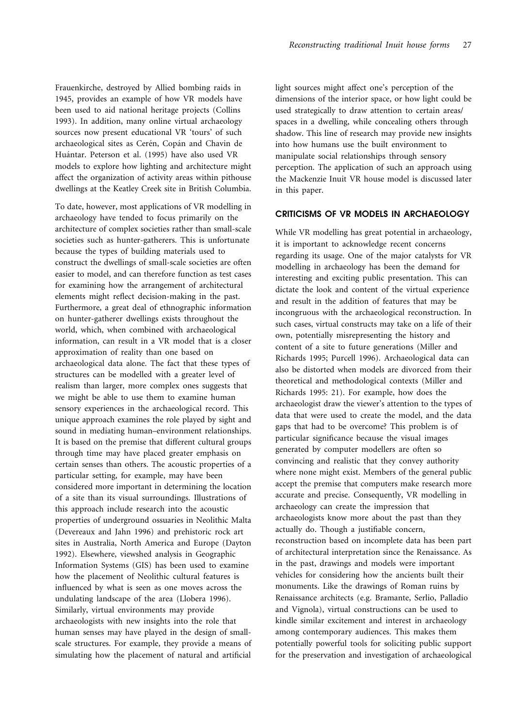Frauenkirche, destroyed by Allied bombing raids in 1945, provides an example of how VR models have been used to aid national heritage projects (Collins 1993). In addition, many online virtual archaeology sources now present educational VR 'tours' of such archaeological sites as Cerén, Copán and Chavin de Huántar. Peterson et al. (1995) have also used VR models to explore how lighting and architecture might affect the organization of activity areas within pithouse dwellings at the Keatley Creek site in British Columbia.

To date, however, most applications of VR modelling in archaeology have tended to focus primarily on the architecture of complex societies rather than small-scale societies such as hunter-gatherers. This is unfortunate because the types of building materials used to construct the dwellings of small-scale societies are often easier to model, and can therefore function as test cases for examining how the arrangement of architectural elements might reflect decision-making in the past. Furthermore, a great deal of ethnographic information on hunter-gatherer dwellings exists throughout the world, which, when combined with archaeological information, can result in a VR model that is a closer approximation of reality than one based on archaeological data alone. The fact that these types of structures can be modelled with a greater level of realism than larger, more complex ones suggests that we might be able to use them to examine human sensory experiences in the archaeological record. This unique approach examines the role played by sight and sound in mediating human–environment relationships. It is based on the premise that different cultural groups through time may have placed greater emphasis on certain senses than others. The acoustic properties of a particular setting, for example, may have been considered more important in determining the location of a site than its visual surroundings. Illustrations of this approach include research into the acoustic properties of underground ossuaries in Neolithic Malta (Devereaux and Jahn 1996) and prehistoric rock art sites in Australia, North America and Europe (Dayton 1992). Elsewhere, viewshed analysis in Geographic Information Systems (GIS) has been used to examine how the placement of Neolithic cultural features is influenced by what is seen as one moves across the undulating landscape of the area (Llobera 1996). Similarly, virtual environments may provide archaeologists with new insights into the role that human senses may have played in the design of smallscale structures. For example, they provide a means of simulating how the placement of natural and artificial

light sources might affect one's perception of the dimensions of the interior space, or how light could be used strategically to draw attention to certain areas/ spaces in a dwelling, while concealing others through shadow. This line of research may provide new insights into how humans use the built environment to manipulate social relationships through sensory perception. The application of such an approach using the Mackenzie Inuit VR house model is discussed later in this paper.

#### CRITICISMS OF VR MODELS IN ARCHAEOLOGY

While VR modelling has great potential in archaeology, it is important to acknowledge recent concerns regarding its usage. One of the major catalysts for VR modelling in archaeology has been the demand for interesting and exciting public presentation. This can dictate the look and content of the virtual experience and result in the addition of features that may be incongruous with the archaeological reconstruction. In such cases, virtual constructs may take on a life of their own, potentially misrepresenting the history and content of a site to future generations (Miller and Richards 1995; Purcell 1996). Archaeological data can also be distorted when models are divorced from their theoretical and methodological contexts (Miller and Richards 1995: 21). For example, how does the archaeologist draw the viewer's attention to the types of data that were used to create the model, and the data gaps that had to be overcome? This problem is of particular significance because the visual images generated by computer modellers are often so convincing and realistic that they convey authority where none might exist. Members of the general public accept the premise that computers make research more accurate and precise. Consequently, VR modelling in archaeology can create the impression that archaeologists know more about the past than they actually do. Though a justifiable concern, reconstruction based on incomplete data has been part of architectural interpretation since the Renaissance. As in the past, drawings and models were important vehicles for considering how the ancients built their monuments. Like the drawings of Roman ruins by Renaissance architects (e.g. Bramante, Serlio, Palladio and Vignola), virtual constructions can be used to kindle similar excitement and interest in archaeology among contemporary audiences. This makes them potentially powerful tools for soliciting public support for the preservation and investigation of archaeological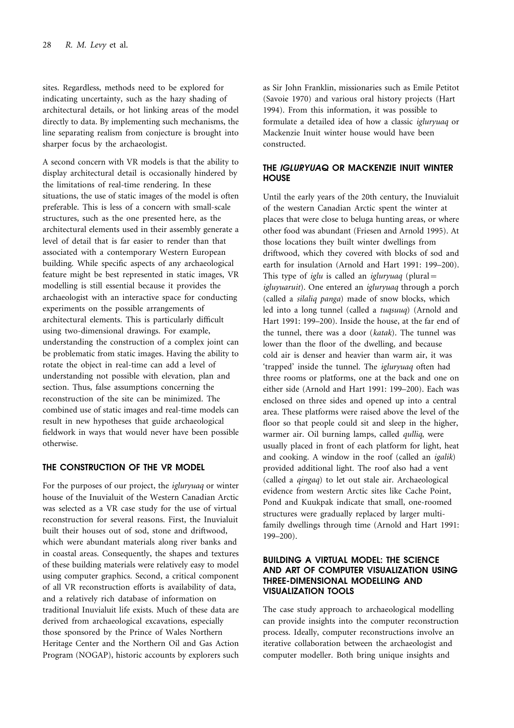sites. Regardless, methods need to be explored for indicating uncertainty, such as the hazy shading of architectural details, or hot linking areas of the model directly to data. By implementing such mechanisms, the line separating realism from conjecture is brought into sharper focus by the archaeologist.

A second concern with VR models is that the ability to display architectural detail is occasionally hindered by the limitations of real-time rendering. In these situations, the use of static images of the model is often preferable. This is less of a concern with small-scale structures, such as the one presented here, as the architectural elements used in their assembly generate a level of detail that is far easier to render than that associated with a contemporary Western European building. While specific aspects of any archaeological feature might be best represented in static images, VR modelling is still essential because it provides the archaeologist with an interactive space for conducting experiments on the possible arrangements of architectural elements. This is particularly difficult using two-dimensional drawings. For example, understanding the construction of a complex joint can be problematic from static images. Having the ability to rotate the object in real-time can add a level of understanding not possible with elevation, plan and section. Thus, false assumptions concerning the reconstruction of the site can be minimized. The combined use of static images and real-time models can result in new hypotheses that guide archaeological fieldwork in ways that would never have been possible otherwise.

## THE CONSTRUCTION OF THE VR MODEL

For the purposes of our project, the igluryuaq or winter house of the Inuvialuit of the Western Canadian Arctic was selected as a VR case study for the use of virtual reconstruction for several reasons. First, the Inuvialuit built their houses out of sod, stone and driftwood, which were abundant materials along river banks and in coastal areas. Consequently, the shapes and textures of these building materials were relatively easy to model using computer graphics. Second, a critical component of all VR reconstruction efforts is availability of data, and a relatively rich database of information on traditional Inuvialuit life exists. Much of these data are derived from archaeological excavations, especially those sponsored by the Prince of Wales Northern Heritage Center and the Northern Oil and Gas Action Program (NOGAP), historic accounts by explorers such as Sir John Franklin, missionaries such as Emile Petitot (Savoie 1970) and various oral history projects (Hart 1994). From this information, it was possible to formulate a detailed idea of how a classic igluryuaq or Mackenzie Inuit winter house would have been constructed.

### THE IGLURYUAQ OR MACKENZIE INUIT WINTER **HOUSE**

Until the early years of the 20th century, the Inuvialuit of the western Canadian Arctic spent the winter at places that were close to beluga hunting areas, or where other food was abundant (Friesen and Arnold 1995). At those locations they built winter dwellings from driftwood, which they covered with blocks of sod and earth for insulation (Arnold and Hart 1991: 199–200). This type of *iglu* is called an *igluryuaq* (plural = igluyuaruit). One entered an igluryuaq through a porch (called a silaliq panga) made of snow blocks, which led into a long tunnel (called a tuqsuuq) (Arnold and Hart 1991: 199–200). Inside the house, at the far end of the tunnel, there was a door (katak). The tunnel was lower than the floor of the dwelling, and because cold air is denser and heavier than warm air, it was 'trapped' inside the tunnel. The igluryuaq often had three rooms or platforms, one at the back and one on either side (Arnold and Hart 1991: 199–200). Each was enclosed on three sides and opened up into a central area. These platforms were raised above the level of the floor so that people could sit and sleep in the higher, warmer air. Oil burning lamps, called qulliq, were usually placed in front of each platform for light, heat and cooking. A window in the roof (called an igalik) provided additional light. The roof also had a vent (called a qingaq) to let out stale air. Archaeological evidence from western Arctic sites like Cache Point, Pond and Kuukpak indicate that small, one-roomed structures were gradually replaced by larger multifamily dwellings through time (Arnold and Hart 1991: 199–200).

### BUILDING A VIRTUAL MODEL: THE SCIENCE AND ART OF COMPUTER VISUALIZATION USING THREE-DIMENSIONAL MODELLING AND VISUALIZATION TOOLS

The case study approach to archaeological modelling can provide insights into the computer reconstruction process. Ideally, computer reconstructions involve an iterative collaboration between the archaeologist and computer modeller. Both bring unique insights and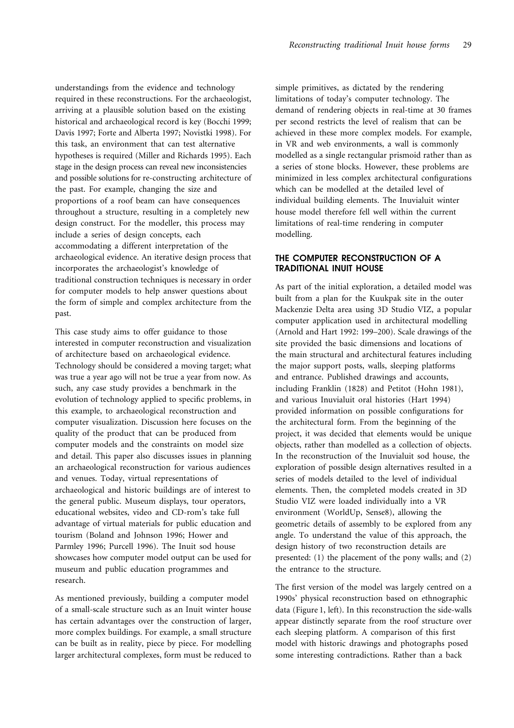understandings from the evidence and technology required in these reconstructions. For the archaeologist, arriving at a plausible solution based on the existing historical and archaeological record is key (Bocchi 1999; Davis 1997; Forte and Alberta 1997; Novistki 1998). For this task, an environment that can test alternative hypotheses is required (Miller and Richards 1995). Each stage in the design process can reveal new inconsistencies and possible solutions for re-constructing architecture of the past. For example, changing the size and proportions of a roof beam can have consequences throughout a structure, resulting in a completely new design construct. For the modeller, this process may include a series of design concepts, each accommodating a different interpretation of the archaeological evidence. An iterative design process that incorporates the archaeologist's knowledge of traditional construction techniques is necessary in order for computer models to help answer questions about the form of simple and complex architecture from the past.

This case study aims to offer guidance to those interested in computer reconstruction and visualization of architecture based on archaeological evidence. Technology should be considered a moving target; what was true a year ago will not be true a year from now. As such, any case study provides a benchmark in the evolution of technology applied to specific problems, in this example, to archaeological reconstruction and computer visualization. Discussion here focuses on the quality of the product that can be produced from computer models and the constraints on model size and detail. This paper also discusses issues in planning an archaeological reconstruction for various audiences and venues. Today, virtual representations of archaeological and historic buildings are of interest to the general public. Museum displays, tour operators, educational websites, video and CD-rom's take full advantage of virtual materials for public education and tourism (Boland and Johnson 1996; Hower and Parmley 1996; Purcell 1996). The Inuit sod house showcases how computer model output can be used for museum and public education programmes and research.

As mentioned previously, building a computer model of a small-scale structure such as an Inuit winter house has certain advantages over the construction of larger, more complex buildings. For example, a small structure can be built as in reality, piece by piece. For modelling larger architectural complexes, form must be reduced to

simple primitives, as dictated by the rendering limitations of today's computer technology. The demand of rendering objects in real-time at 30 frames per second restricts the level of realism that can be achieved in these more complex models. For example, in VR and web environments, a wall is commonly modelled as a single rectangular prismoid rather than as a series of stone blocks. However, these problems are minimized in less complex architectural configurations which can be modelled at the detailed level of individual building elements. The Inuvialuit winter house model therefore fell well within the current limitations of real-time rendering in computer modelling.

#### THE COMPUTER RECONSTRUCTION OF A TRADITIONAL INUIT HOUSE

As part of the initial exploration, a detailed model was built from a plan for the Kuukpak site in the outer Mackenzie Delta area using 3D Studio VIZ, a popular computer application used in architectural modelling (Arnold and Hart 1992: 199–200). Scale drawings of the site provided the basic dimensions and locations of the main structural and architectural features including the major support posts, walls, sleeping platforms and entrance. Published drawings and accounts, including Franklin (1828) and Petitot (Hohn 1981), and various Inuvialuit oral histories (Hart 1994) provided information on possible configurations for the architectural form. From the beginning of the project, it was decided that elements would be unique objects, rather than modelled as a collection of objects. In the reconstruction of the Inuvialuit sod house, the exploration of possible design alternatives resulted in a series of models detailed to the level of individual elements. Then, the completed models created in 3D Studio VIZ were loaded individually into a VR environment (WorldUp, Sense8), allowing the geometric details of assembly to be explored from any angle. To understand the value of this approach, the design history of two reconstruction details are presented: (1) the placement of the pony walls; and (2) the entrance to the structure.

The first version of the model was largely centred on a 1990s' physical reconstruction based on ethnographic data (Figure 1, left). In this reconstruction the side-walls appear distinctly separate from the roof structure over each sleeping platform. A comparison of this first model with historic drawings and photographs posed some interesting contradictions. Rather than a back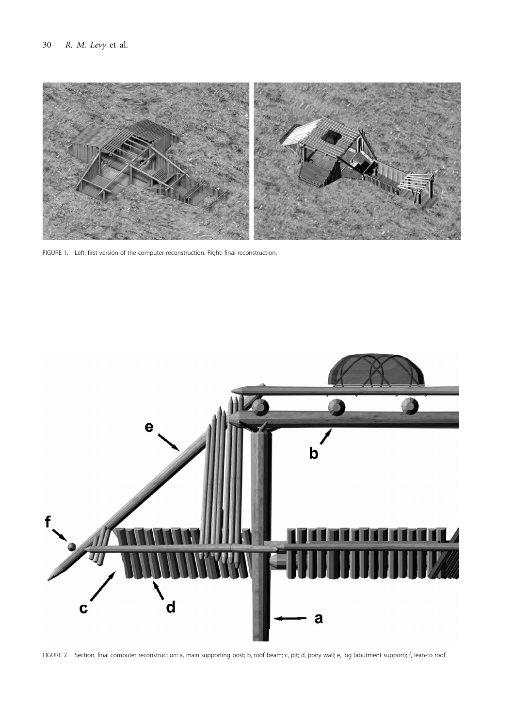

FIGURE 1. Left: first version of the computer reconstruction. Right: final reconstruction.



FIGURE 2. Section, final computer reconstruction: a, main supporting post; b, roof beam; c, pit; d, pony wall; e, log (abutment support); f, lean-to roof.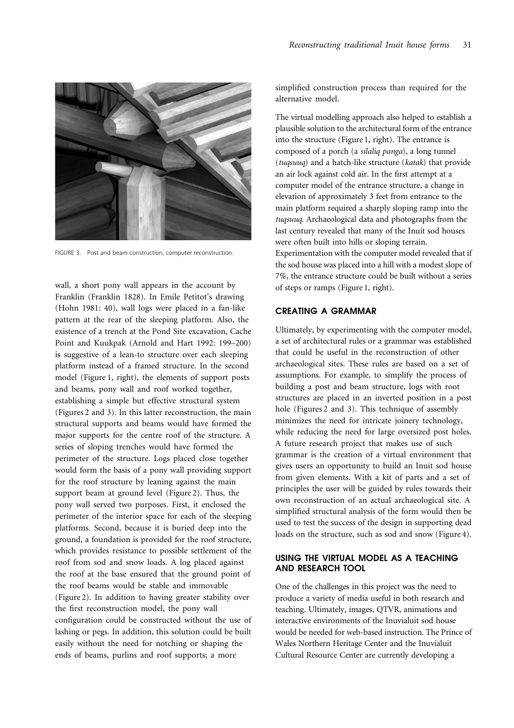

FIGURE 3. Post and beam construction, computer reconstruction.

wall, a short pony wall appears in the account by Franklin (Franklin 1828). In Emile Petitot's drawing (Hohn 1981: 40), wall logs were placed in a fan-like pattern at the rear of the sleeping platform. Also, the existence of a trench at the Pond Site excavation, Cache Point and Kuukpak (Arnold and Hart 1992: 199–200) is suggestive of a lean-to structure over each sleeping platform instead of a framed structure. In the second model (Figure 1, right), the elements of support posts and beams, pony wall and roof worked together, establishing a simple but effective structural system (Figures 2 and 3). In this latter reconstruction, the main structural supports and beams would have formed the major supports for the centre roof of the structure. A series of sloping trenches would have formed the perimeter of the structure. Logs placed close together would form the basis of a pony wall providing support for the roof structure by leaning against the main support beam at ground level (Figure 2). Thus, the pony wall served two purposes. First, it enclosed the perimeter of the interior space for each of the sleeping platforms. Second, because it is buried deep into the ground, a foundation is provided for the roof structure, which provides resistance to possible settlement of the roof from sod and snow loads. A log placed against the roof at the base ensured that the ground point of the roof beams would be stable and immovable (Figure 2). In addition to having greater stability over the first reconstruction model, the pony wall configuration could be constructed without the use of lashing or pegs. In addition, this solution could be built easily without the need for notching or shaping the ends of beams, purlins and roof supports; a more

simplified construction process than required for the alternative model.

The virtual modelling approach also helped to establish a plausible solution to the architectural form of the entrance into the structure (Figure 1, right). The entrance is composed of a porch (a silaliq panga), a long tunnel (tuqsuuq) and a hatch-like structure (katak) that provide an air lock against cold air. In the first attempt at a computer model of the entrance structure, a change in elevation of approximately 3 feet from entrance to the main platform required a sharply sloping ramp into the tuqsuuq. Archaeological data and photographs from the last century revealed that many of the Inuit sod houses were often built into hills or sloping terrain. Experimentation with the computer model revealed that if the sod house was placed into a hill with a modest slope of 7*%*, the entrance structure could be built without a series of steps or ramps (Figure 1, right).

#### CREATING A GRAMMAR

Ultimately, by experimenting with the computer model, a set of architectural rules or a grammar was established that could be useful in the reconstruction of other archaeological sites. These rules are based on a set of assumptions. For example, to simplify the process of building a post and beam structure, logs with root structures are placed in an inverted position in a post hole (Figures 2 and 3). This technique of assembly minimizes the need for intricate joinery technology, while reducing the need for large oversized post holes. A future research project that makes use of such grammar is the creation of a virtual environment that gives users an opportunity to build an Inuit sod house from given elements. With a kit of parts and a set of principles the user will be guided by rules towards their own reconstruction of an actual archaeological site. A simplified structural analysis of the form would then be used to test the success of the design in supporting dead loads on the structure, such as sod and snow (Figure 4).

#### USING THE VIRTUAL MODEL AS A TEACHING AND RESEARCH TOOL

One of the challenges in this project was the need to produce a variety of media useful in both research and teaching. Ultimately, images, QTVR, animations and interactive environments of the Inuvialuit sod house would be needed for web-based instruction. The Prince of Wales Northern Heritage Center and the Inuvialuit Cultural Resource Center are currently developing a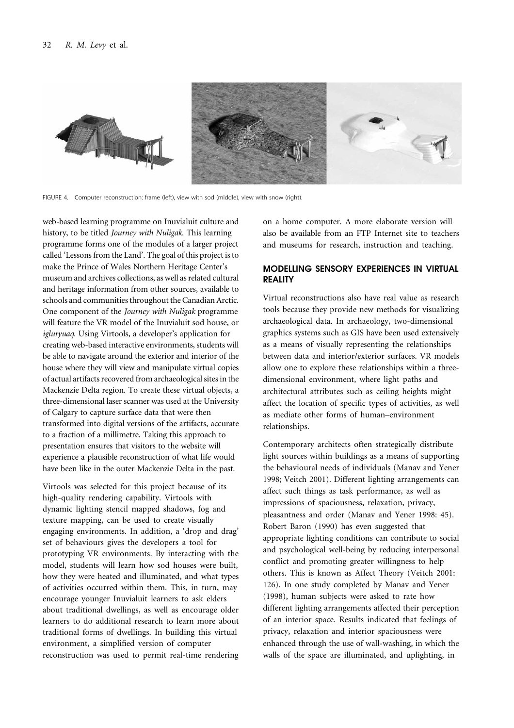

FIGURE 4. Computer reconstruction: frame (left), view with sod (middle), view with snow (right).

web-based learning programme on Inuvialuit culture and history, to be titled Journey with Nuligak. This learning programme forms one of the modules of a larger project called 'Lessons from the Land'. The goal of this project is to make the Prince of Wales Northern Heritage Center's museum and archives collections, as well as related cultural and heritage information from other sources, available to schools and communities throughout the Canadian Arctic. One component of the Journey with Nuligak programme will feature the VR model of the Inuvialuit sod house, or igluryuaq. Using Virtools, a developer's application for creating web-based interactive environments, students will be able to navigate around the exterior and interior of the house where they will view and manipulate virtual copies of actual artifacts recovered from archaeological sites in the Mackenzie Delta region. To create these virtual objects, a three-dimensional laser scanner was used at the University of Calgary to capture surface data that were then transformed into digital versions of the artifacts, accurate to a fraction of a millimetre. Taking this approach to presentation ensures that visitors to the website will experience a plausible reconstruction of what life would have been like in the outer Mackenzie Delta in the past.

Virtools was selected for this project because of its high-quality rendering capability. Virtools with dynamic lighting stencil mapped shadows, fog and texture mapping, can be used to create visually engaging environments. In addition, a 'drop and drag' set of behaviours gives the developers a tool for prototyping VR environments. By interacting with the model, students will learn how sod houses were built, how they were heated and illuminated, and what types of activities occurred within them. This, in turn, may encourage younger Inuvialuit learners to ask elders about traditional dwellings, as well as encourage older learners to do additional research to learn more about traditional forms of dwellings. In building this virtual environment, a simplified version of computer reconstruction was used to permit real-time rendering

on a home computer. A more elaborate version will also be available from an FTP Internet site to teachers and museums for research, instruction and teaching.

## MODELLING SENSORY EXPERIENCES IN VIRTUAL REALITY

Virtual reconstructions also have real value as research tools because they provide new methods for visualizing archaeological data. In archaeology, two-dimensional graphics systems such as GIS have been used extensively as a means of visually representing the relationships between data and interior/exterior surfaces. VR models allow one to explore these relationships within a threedimensional environment, where light paths and architectural attributes such as ceiling heights might affect the location of specific types of activities, as well as mediate other forms of human–environment relationships.

Contemporary architects often strategically distribute light sources within buildings as a means of supporting the behavioural needs of individuals (Manav and Yener 1998; Veitch 2001). Different lighting arrangements can affect such things as task performance, as well as impressions of spaciousness, relaxation, privacy, pleasantness and order (Manav and Yener 1998: 45). Robert Baron (1990) has even suggested that appropriate lighting conditions can contribute to social and psychological well-being by reducing interpersonal conflict and promoting greater willingness to help others. This is known as Affect Theory (Veitch 2001: 126). In one study completed by Manav and Yener (1998), human subjects were asked to rate how different lighting arrangements affected their perception of an interior space. Results indicated that feelings of privacy, relaxation and interior spaciousness were enhanced through the use of wall-washing, in which the walls of the space are illuminated, and uplighting, in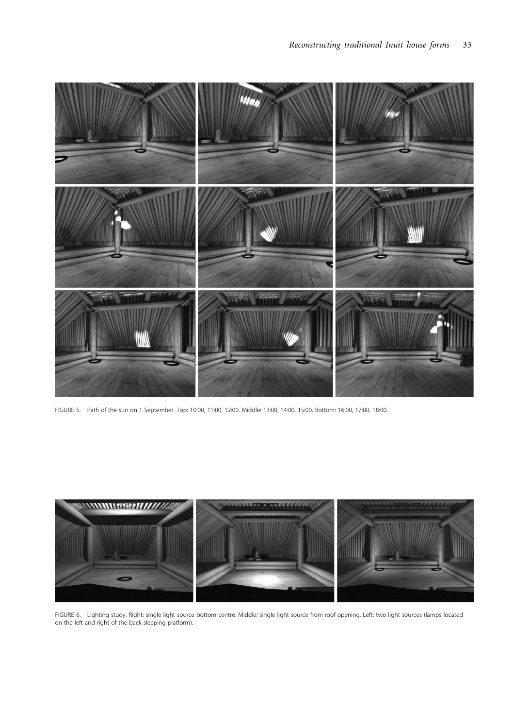

FIGURE 5. Path of the sun on 1 September. Top: 10:00, 11:00, 12:00. Middle: 13:00, 14:00, 15:00. Bottom: 16:00, 17:00. 18:00.



FIGURE 6. Lighting study. Right: single light source bottom centre. Middle: single light source from roof opening. Left: two light sources (lamps located on the left and right of the back sleeping platform).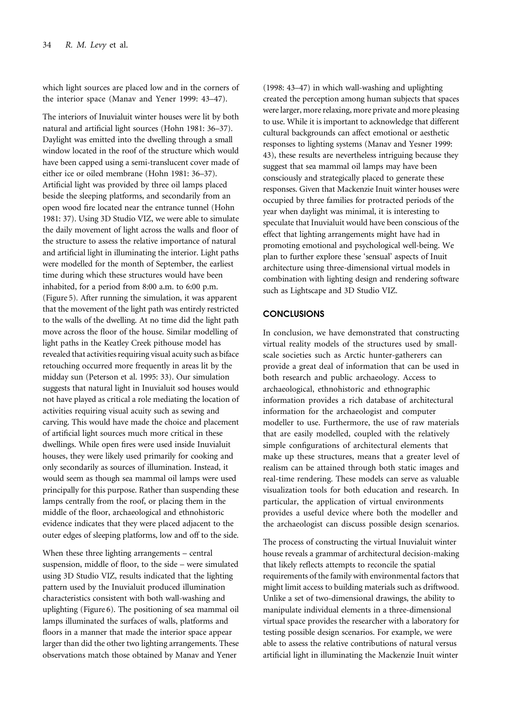which light sources are placed low and in the corners of the interior space (Manav and Yener 1999: 43–47).

The interiors of Inuvialuit winter houses were lit by both natural and artificial light sources (Hohn 1981: 36–37). Daylight was emitted into the dwelling through a small window located in the roof of the structure which would have been capped using a semi-translucent cover made of either ice or oiled membrane (Hohn 1981: 36–37). Artificial light was provided by three oil lamps placed beside the sleeping platforms, and secondarily from an open wood fire located near the entrance tunnel (Hohn 1981: 37). Using 3D Studio VIZ, we were able to simulate the daily movement of light across the walls and floor of the structure to assess the relative importance of natural and artificial light in illuminating the interior. Light paths were modelled for the month of September, the earliest time during which these structures would have been inhabited, for a period from 8:00 a.m. to 6:00 p.m. (Figure 5). After running the simulation, it was apparent that the movement of the light path was entirely restricted to the walls of the dwelling. At no time did the light path move across the floor of the house. Similar modelling of light paths in the Keatley Creek pithouse model has revealed that activities requiring visual acuity such as biface retouching occurred more frequently in areas lit by the midday sun (Peterson et al. 1995: 33). Our simulation suggests that natural light in Inuvialuit sod houses would not have played as critical a role mediating the location of activities requiring visual acuity such as sewing and carving. This would have made the choice and placement of artificial light sources much more critical in these dwellings. While open fires were used inside Inuvialuit houses, they were likely used primarily for cooking and only secondarily as sources of illumination. Instead, it would seem as though sea mammal oil lamps were used principally for this purpose. Rather than suspending these lamps centrally from the roof, or placing them in the middle of the floor, archaeological and ethnohistoric evidence indicates that they were placed adjacent to the outer edges of sleeping platforms, low and off to the side.

When these three lighting arrangements – central suspension, middle of floor, to the side – were simulated using 3D Studio VIZ, results indicated that the lighting pattern used by the Inuvialuit produced illumination characteristics consistent with both wall-washing and uplighting (Figure 6). The positioning of sea mammal oil lamps illuminated the surfaces of walls, platforms and floors in a manner that made the interior space appear larger than did the other two lighting arrangements. These observations match those obtained by Manav and Yener

(1998: 43–47) in which wall-washing and uplighting created the perception among human subjects that spaces were larger, more relaxing, more private and more pleasing to use. While it is important to acknowledge that different cultural backgrounds can affect emotional or aesthetic responses to lighting systems (Manav and Yesner 1999: 43), these results are nevertheless intriguing because they suggest that sea mammal oil lamps may have been consciously and strategically placed to generate these responses. Given that Mackenzie Inuit winter houses were occupied by three families for protracted periods of the year when daylight was minimal, it is interesting to speculate that Inuvialuit would have been conscious of the effect that lighting arrangements might have had in promoting emotional and psychological well-being. We plan to further explore these 'sensual' aspects of Inuit architecture using three-dimensional virtual models in combination with lighting design and rendering software such as Lightscape and 3D Studio VIZ.

#### **CONCLUSIONS**

In conclusion, we have demonstrated that constructing virtual reality models of the structures used by smallscale societies such as Arctic hunter-gatherers can provide a great deal of information that can be used in both research and public archaeology. Access to archaeological, ethnohistoric and ethnographic information provides a rich database of architectural information for the archaeologist and computer modeller to use. Furthermore, the use of raw materials that are easily modelled, coupled with the relatively simple configurations of architectural elements that make up these structures, means that a greater level of realism can be attained through both static images and real-time rendering. These models can serve as valuable visualization tools for both education and research. In particular, the application of virtual environments provides a useful device where both the modeller and the archaeologist can discuss possible design scenarios.

The process of constructing the virtual Inuvialuit winter house reveals a grammar of architectural decision-making that likely reflects attempts to reconcile the spatial requirements of the family with environmental factors that might limit access to building materials such as driftwood. Unlike a set of two-dimensional drawings, the ability to manipulate individual elements in a three-dimensional virtual space provides the researcher with a laboratory for testing possible design scenarios. For example, we were able to assess the relative contributions of natural versus artificial light in illuminating the Mackenzie Inuit winter